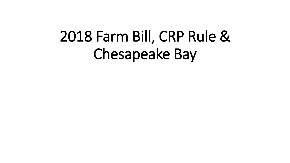# 2018 Farm Bill, CRP Rule & Chesapeake Bay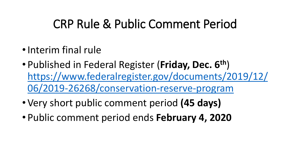### CRP Rule & Public Comment Period

- •Interim final rule
- Published in Federal Register (**Friday, Dec. 6th**) [https://www.federalregister.gov/documents/2019/12/](https://www.federalregister.gov/documents/2019/12/06/2019-26268/conservation-reserve-program) 06/2019-26268/conservation-reserve-program
- Very short public comment period **(45 days)**
- Public comment period ends **February 4, 2020**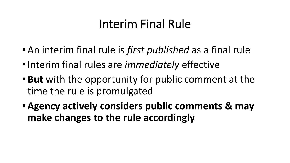# Interim Final Rule

- An interim final rule is *first published* as a final rule
- •Interim final rules are *immediately* effective
- **But** with the opportunity for public comment at the time the rule is promulgated
- •**Agency actively considers public comments & may make changes to the rule accordingly**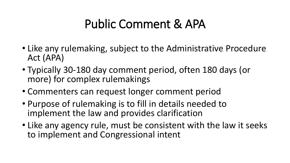### Public Comment & APA

- Like any rulemaking, subject to the Administrative Procedure Act (APA)
- Typically 30-180 day comment period, often 180 days (or more) for complex rulemakings
- Commenters can request longer comment period
- Purpose of rulemaking is to fill in details needed to implement the law and provides clarification
- Like any agency rule, must be consistent with the law it seeks to implement and Congressional intent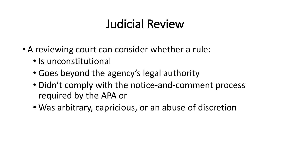# Judicial Review

- A reviewing court can consider whether a rule:
	- Is unconstitutional
	- Goes beyond the agency's legal authority
	- Didn't comply with the notice-and-comment process required by the APA or
	- Was arbitrary, capricious, or an abuse of discretion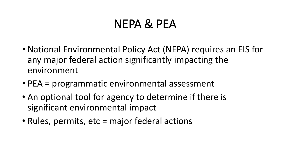### NEPA & PEA

- National Environmental Policy Act (NEPA) requires an EIS for any major federal action significantly impacting the environment
- PEA = programmatic environmental assessment
- An optional tool for agency to determine if there is significant environmental impact
- Rules, permits, etc = major federal actions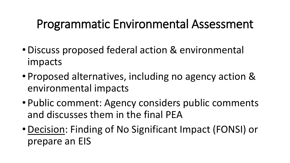#### Programmatic Environmental Assessment

- •Discuss proposed federal action & environmental impacts
- Proposed alternatives, including no agency action & environmental impacts
- Public comment: Agency considers public comments and discusses them in the final PEA
- •Decision: Finding of No Significant Impact (FONSI) or prepare an EIS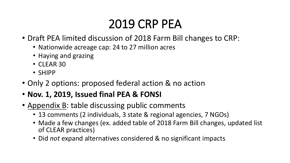# 2019 CRP PEA

- Draft PEA limited discussion of 2018 Farm Bill changes to CRP:
	- Nationwide acreage cap: 24 to 27 million acres
	- Haying and grazing
	- CLEAR 30
	- SHIPP
- Only 2 options: proposed federal action & no action
- **Nov. 1, 2019, Issued final PEA & FONSI**
- Appendix B: table discussing public comments
	- 13 comments (2 individuals, 3 state & regional agencies, 7 NGOs)
	- Made a few changes (ex. added table of 2018 Farm Bill changes, updated list of CLEAR practices)
	- Did *not* expand alternatives considered & no significant impacts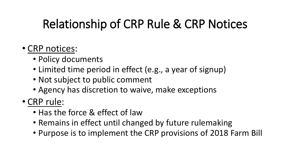# Relationship of CRP Rule & CRP Notices

#### • CRP notices:

- Policy documents
- Limited time period in effect (e.g., a year of signup)
- Not subject to public comment
- Agency has discretion to waive, make exceptions
- CRP rule:
	- Has the force & effect of law
	- Remains in effect until changed by future rulemaking
	- Purpose is to implement the CRP provisions of 2018 Farm Bill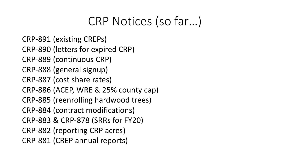#### CRP Notices (so far…)

CRP-891 (existing CREPs) CRP-890 (letters for expired CRP) CRP-889 (continuous CRP) CRP-888 (general signup) CRP-887 (cost share rates) CRP-886 (ACEP, WRE & 25% county cap) CRP-885 (reenrolling hardwood trees) CRP-884 (contract modifications) CRP-883 & CRP-878 (SRRs for FY20) CRP-882 (reporting CRP acres) CRP-881 (CREP annual reports)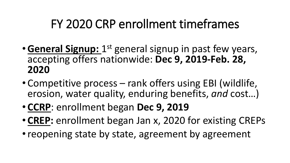### FY 2020 CRP enrollment timeframes

- **General Signup:** 1<sup>st</sup> general signup in past few years, accepting offers nationwide: **Dec 9, 2019-Feb. 28, 2020**
- Competitive process rank offers using EBI (wildlife, erosion, water quality, enduring benefits, *and* cost…)
- **CCRP**: enrollment began **Dec 9, 2019**
- **CREP:** enrollment began Jan x, 2020 for existing CREPs
- reopening state by state, agreement by agreement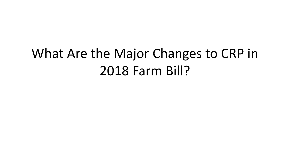# What Are the Major Changes to CRP in 2018 Farm Bill?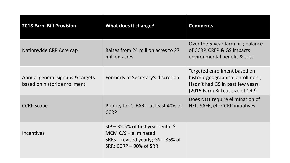| <b>2018 Farm Bill Provision</b>                                  | What does it change?                                                                                                                | <b>Comments</b>                                                                                                                          |
|------------------------------------------------------------------|-------------------------------------------------------------------------------------------------------------------------------------|------------------------------------------------------------------------------------------------------------------------------------------|
| Nationwide CRP Acre cap                                          | Raises from 24 million acres to 27<br>million acres                                                                                 | Over the 5-year farm bill; balance<br>of CCRP, CREP & GS impacts<br>environmental benefit & cost                                         |
| Annual general signups & targets<br>based on historic enrollment | Formerly at Secretary's discretion                                                                                                  | Targeted enrollment based on<br>historic geographical enrollment;<br>Hadn't had GS in past few years<br>(2015 Farm Bill cut size of CRP) |
| <b>CCRP</b> scope                                                | Priority for CLEAR – at least 40% of<br><b>CCRP</b>                                                                                 | Does NOT require elimination of<br>HEL, SAFE, etc CCRP initiatives                                                                       |
| <b>Incentives</b>                                                | $SIP - 32.5\%$ of first year rental \$<br>MCM $C/S$ – eliminated<br>SRRs – revised yearly; $GS - 85\%$ of<br>SRR; CCRP – 90% of SRR |                                                                                                                                          |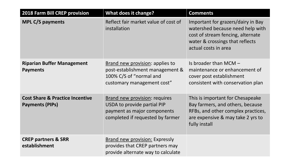| <b>2018 Farm Bill CREP provision</b>                                 | What does it change?                                                                                                                   | <b>Comments</b>                                                                                                                                                        |
|----------------------------------------------------------------------|----------------------------------------------------------------------------------------------------------------------------------------|------------------------------------------------------------------------------------------------------------------------------------------------------------------------|
| <b>MPL C/S payments</b>                                              | Reflect fair market value of cost of<br>installation                                                                                   | Important for grazers/dairy in Bay<br>watershed because need help with<br>cost of stream fencing, alternate<br>water & crossings that reflects<br>actual costs in area |
| <b>Riparian Buffer Management</b><br><b>Payments</b>                 | Brand new provision: applies to<br>post-establishment management &<br>100% C/S of "normal and<br>customary management cost"            | Is broader than $MCM -$<br>maintenance or enhancement of<br>cover post establishment<br>consistent with conservation plan                                              |
| <b>Cost Share &amp; Practice Incentive</b><br><b>Payments (PIPs)</b> | <b>Brand new provision: requires</b><br>USDA to provide partial PIP<br>payment as major components<br>completed if requested by farmer | This is important for Chesapeake<br>Bay farmers, and others, because<br>RFBs, and other complex practices,<br>are expensive & may take 2 yrs to<br>fully install       |
| <b>CREP partners &amp; SRR</b><br>establishment                      | <b>Brand new provision: Expressly</b><br>provides that CREP partners may<br>provide alternate way to calculate                         |                                                                                                                                                                        |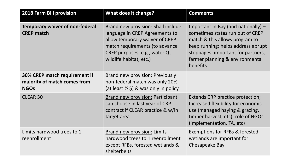| <b>2018 Farm Bill provision</b>                                              | <b>What does it change?</b>                                                                                                                                                                          | <b>Comments</b>                                                                                                                                                                                                                      |
|------------------------------------------------------------------------------|------------------------------------------------------------------------------------------------------------------------------------------------------------------------------------------------------|--------------------------------------------------------------------------------------------------------------------------------------------------------------------------------------------------------------------------------------|
| <b>Temporary waiver of non-federal</b><br><b>CREP match</b>                  | Brand new provision: Shall include<br>language in CREP Agreements to<br>allow temporary waiver of CREP<br>match requirements (to advance<br>CREP purposes, e.g., water Q,<br>wildlife habitat, etc.) | Important in Bay (and nationally) -<br>sometimes states run out of CREP<br>match & this allows program to<br>keep running; helps address abrupt<br>stoppages; important for partners,<br>farmer planning & environmental<br>benefits |
| 30% CREP match requirement if<br>majority of match comes from<br><b>NGOs</b> | <b>Brand new provision: Previously</b><br>non-federal match was only 20%<br>(at least $\frac{1}{2}$ \$) & was only in policy                                                                         |                                                                                                                                                                                                                                      |
| <b>CLEAR 30</b>                                                              | Brand new provision: Participant<br>can choose in last year of CRP<br>contract if CLEAR practice & w/in<br>target area                                                                               | Extends CRP practice protection;<br>Increased flexibility for economic<br>use (managed haying & grazing,<br>timber harvest, etc); role of NGOs<br>(implementation, TA, etc)                                                          |
| Limits hardwood trees to 1<br>reenrollment                                   | Brand new provision: Limits<br>hardwood trees to 1 reenrollment<br>except RFBs, forested wetlands &<br>shelterbelts                                                                                  | Exemptions for RFBs & forested<br>wetlands are important for<br>Chesapeake Bay                                                                                                                                                       |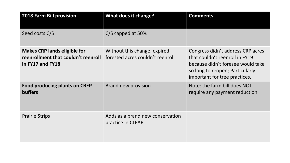| <b>2018 Farm Bill provision</b>                                                                | What does it change?                                             | <b>Comments</b>                                                                                                                                                              |
|------------------------------------------------------------------------------------------------|------------------------------------------------------------------|------------------------------------------------------------------------------------------------------------------------------------------------------------------------------|
| Seed costs C/S                                                                                 | C/S capped at 50%                                                |                                                                                                                                                                              |
| <b>Makes CRP lands eligible for</b><br>reenrollment that couldn't reenroll<br>in FY17 and FY18 | Without this change, expired<br>forested acres couldn't reenroll | Congress didn't address CRP acres<br>that couldn't reenroll in FY19<br>because didn't foresee would take<br>so long to reopen; Particularly<br>important for tree practices. |
| <b>Food producing plants on CREP</b><br><b>buffers</b>                                         | Brand new provision                                              | Note: the farm bill does NOT<br>require any payment reduction                                                                                                                |
| <b>Prairie Strips</b>                                                                          | Adds as a brand new conservation<br>practice in CLEAR            |                                                                                                                                                                              |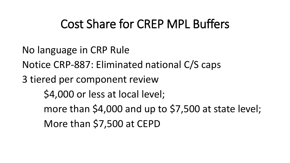#### Cost Share for CREP MPL Buffers

- No language in CRP Rule
- Notice CRP-887: Eliminated national C/S caps
- 3 tiered per component review
	- \$4,000 or less at local level;
	- more than \$4,000 and up to \$7,500 at state level; More than \$7,500 at CEPD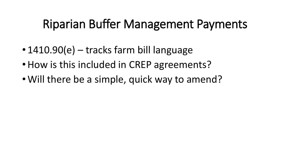### Riparian Buffer Management Payments

- 1410.90(e) tracks farm bill language
- How is this included in CREP agreements?
- Will there be a simple, quick way to amend?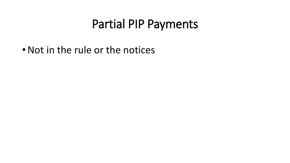#### Partial PIP Payments

• Not in the rule or the notices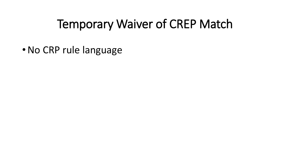#### Temporary Waiver of CREP Match

•No CRP rule language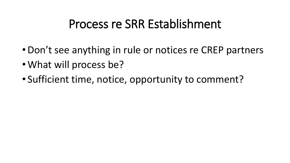#### Process re SRR Establishment

- •Don't see anything in rule or notices re CREP partners
- What will process be?
- Sufficient time, notice, opportunity to comment?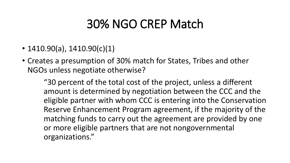#### 30% NGO CREP Match

- $1410.90(a)$ ,  $1410.90(c)(1)$
- Creates a presumption of 30% match for States, Tribes and other NGOs unless negotiate otherwise?

"30 percent of the total cost of the project, unless a different amount is determined by negotiation between the CCC and the eligible partner with whom CCC is entering into the Conservation Reserve Enhancement Program agreement, if the majority of the matching funds to carry out the agreement are provided by one or more eligible partners that are not nongovernmental organizations."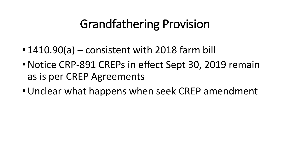# Grandfathering Provision

- 1410.90(a) consistent with 2018 farm bill
- •Notice CRP-891 CREPs in effect Sept 30, 2019 remain as is per CREP Agreements
- •Unclear what happens when seek CREP amendment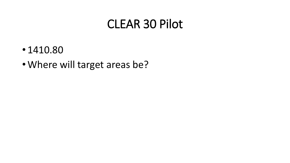#### CLEAR 30 Pilot

- 1410.80
- Where will target areas be?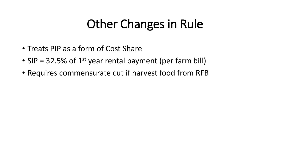# Other Changes in Rule

- Treats PIP as a form of Cost Share
- SIP = 32.5% of  $1<sup>st</sup>$  year rental payment (per farm bill)
- Requires commensurate cut if harvest food from RFB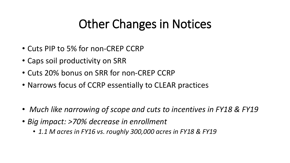# Other Changes in Notices

- Cuts PIP to 5% for non-CREP CCRP
- Caps soil productivity on SRR
- Cuts 20% bonus on SRR for non-CREP CCRP
- Narrows focus of CCRP essentially to CLEAR practices
- *Much like narrowing of scope and cuts to incentives in FY18 & FY19*
- *Big impact: >70% decrease in enrollment*
	- *1.1 M acres in FY16 vs. roughly 300,000 acres in FY18 & FY19*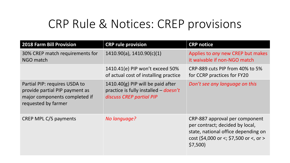#### CRP Rule & Notices: CREP provisions

| <b>2018 Farm Bill Provision</b>                                                                                         | <b>CRP rule provision</b>                                                                                            | <b>CRP</b> notice                                                                                                                                             |
|-------------------------------------------------------------------------------------------------------------------------|----------------------------------------------------------------------------------------------------------------------|---------------------------------------------------------------------------------------------------------------------------------------------------------------|
| 30% CREP match requirements for<br>NGO match                                                                            | $1410.90(a)$ , $1410.90(c)(1)$                                                                                       | Applies to any new CREP but makes<br>it waivable if non-NGO match                                                                                             |
|                                                                                                                         | 1410.41(e) PIP won't exceed 50%<br>of actual cost of installing practice                                             | CRP-889 cuts PIP from 40% to 5%<br>for CCRP practices for FY20                                                                                                |
| Partial PIP: requires USDA to<br>provide partial PIP payment as<br>major components completed if<br>requested by farmer | $1410.40(g)$ PIP will be paid after<br>practice is fully installed $-\frac{doesn't}{dt}$<br>discuss CREP partial PIP | Don't see any language on this                                                                                                                                |
| <b>CREP MPL C/S payments</b>                                                                                            | No language?                                                                                                         | CRP-887 approval per component<br>per contract; decided by local,<br>state, national office depending on<br>cost (\$4,000 or <; \$7,500 or <, or ><br>\$7,500 |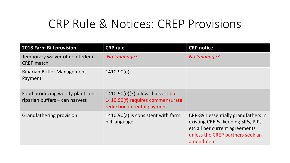#### CRP Rule & Notices: CREP Provisions

| <b>2018 Farm Bill provision</b>                                  | <b>CRP rule</b>                                                                                       | <b>CRP notice</b>                                                                                                                                            |
|------------------------------------------------------------------|-------------------------------------------------------------------------------------------------------|--------------------------------------------------------------------------------------------------------------------------------------------------------------|
| Temporary waiver of non-federal<br><b>CREP</b> match             | No language?                                                                                          | No language?                                                                                                                                                 |
| <b>Riparian Buffer Management</b><br>Payment                     | 1410.90(e)                                                                                            |                                                                                                                                                              |
| Food producing woody plants on<br>riparian buffers - can harvest | $1410.90(e)(3)$ allows harvest but<br>1410.90(f) requires commensurate<br>reduction in rental payment |                                                                                                                                                              |
| Grandfathering provision                                         | 1410.90(a) is consistent with farm<br>bill language                                                   | CRP-891 essentially grandfathers in<br>existing CREPs, keeping SIPs, PIPs<br>etc all per current agreements<br>unless the CREP partners seek an<br>amendment |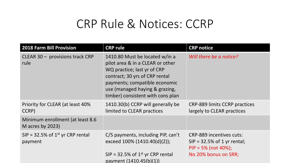#### CRP Rule & Notices: CCRP

| <b>2018 Farm Bill Provision</b>                            | <b>CRP rule</b>                                                                                                                                                                                                                             | <b>CRP</b> notice                                                                                                   |
|------------------------------------------------------------|---------------------------------------------------------------------------------------------------------------------------------------------------------------------------------------------------------------------------------------------|---------------------------------------------------------------------------------------------------------------------|
| CLEAR 30 - provisions track CRP<br>rule                    | 1410.80 Must be located w/in a<br>pilot area & in a CLEAR or other<br>WQ practice; last yr of CRP<br>contract; 30 yrs of CRP rental<br>payments; compatible economic<br>use (managed haying & grazing,<br>timber) consistent with cons plan | Will there be a notice?                                                                                             |
| Priority for CLEAR (at least 40%<br>CCRP)                  | 1410.30(b) CCRP will generally be<br>limited to CLEAR practices                                                                                                                                                                             | <b>CRP-889 limits CCRP practices</b><br>largely to CLEAR practices                                                  |
| Minimum enrollment (at least 8.6<br>M acres by $2023$ )    |                                                                                                                                                                                                                                             |                                                                                                                     |
| $SIP = 32.5\%$ of 1 <sup>st</sup> yr CRP rental<br>payment | C/S payments, including PIP, can't<br>exceed 100% (1410.40(d)(2));<br>SIP = 32.5% of $1^{st}$ yr CRP rental<br>payment (1410.45(b)(1))                                                                                                      | <b>CRP-889 incentives cuts:</b><br>$SIP = 32.5\%$ of 1 yr rental;<br>$PIP = 5\%$ (not 40%);<br>No 20% bonus on SRR; |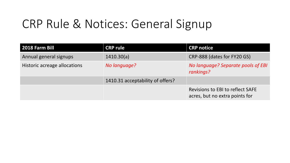# CRP Rule & Notices: General Signup

| 2018 Farm Bill               | <b>CRP rule</b>                  | <b>CRP notice</b>                                                         |
|------------------------------|----------------------------------|---------------------------------------------------------------------------|
| Annual general signups       | 1410.30(a)                       | CRP-888 (dates for FY20 GS)                                               |
| Historic acreage allocations | No language?                     | No language? Separate pools of EBI<br>rankings?                           |
|                              | 1410.31 acceptability of offers? |                                                                           |
|                              |                                  | <b>Revisions to EBI to reflect SAFE</b><br>acres, but no extra points for |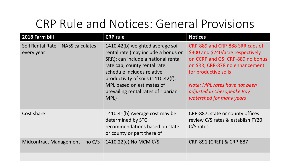### CRP Rule and Notices: General Provisions

| 2018 Farm bill                                   | <b>CRP rule</b>                                                                                                                                                                                                                                                                                    | <b>Notices</b>                                                                                                                                                                                                                                                |
|--------------------------------------------------|----------------------------------------------------------------------------------------------------------------------------------------------------------------------------------------------------------------------------------------------------------------------------------------------------|---------------------------------------------------------------------------------------------------------------------------------------------------------------------------------------------------------------------------------------------------------------|
| Soil Rental Rate - NASS calculates<br>every year | 1410.42(b) weighted average soil<br>rental rate (may include a bonus on<br>SRR); can include a national rental<br>rate cap; county rental rate<br>schedule includes relative<br>productivity of soils $(1410.42(f))$ ;<br>MPL based on estimates of<br>prevailing rental rates of riparian<br>MPL) | CRP-889 and CRP-888 SRR caps of<br>\$300 and \$240/acre respectively<br>on CCRP and GS; CRP-889 no bonus<br>on SRR; CRP-878 no enhancement<br>for productive soils<br>Note: MPL rates have not been<br>adjusted in Chesapeake Bay<br>watershed for many years |
| Cost share                                       | 1410.41(b) Average cost may be<br>determined by STC<br>recommendations based on state<br>or county or part there of                                                                                                                                                                                | CRP-887: state or county offices<br>review C/S rates & establish FY20<br>$C/S$ rates                                                                                                                                                                          |
| Midcontract Management $-$ no C/S                | 1410.22(e) No MCM C/S                                                                                                                                                                                                                                                                              | CRP-891 (CREP) & CRP-887                                                                                                                                                                                                                                      |
|                                                  |                                                                                                                                                                                                                                                                                                    |                                                                                                                                                                                                                                                               |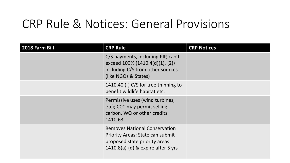#### CRP Rule & Notices: General Provisions

| 2018 Farm Bill | <b>CRP Rule</b>                                                                                                                                 | <b>CRP Notices</b> |
|----------------|-------------------------------------------------------------------------------------------------------------------------------------------------|--------------------|
|                | C/S payments, including PIP, can't<br>exceed $100\%$ (1410.4(d)(1), (2))<br>including C/S from other sources<br>(like NGOs & States)            |                    |
|                | 1410.40 (f) C/S for tree thinning to<br>benefit wildlife habitat etc.                                                                           |                    |
|                | Permissive uses (wind turbines,<br>etc); CCC may permit selling<br>carbon, WQ or other credits<br>1410.63                                       |                    |
|                | <b>Removes National Conservation</b><br>Priority Areas; State can submit<br>proposed state priority areas<br>1410.8(a)-(d) & expire after 5 yrs |                    |